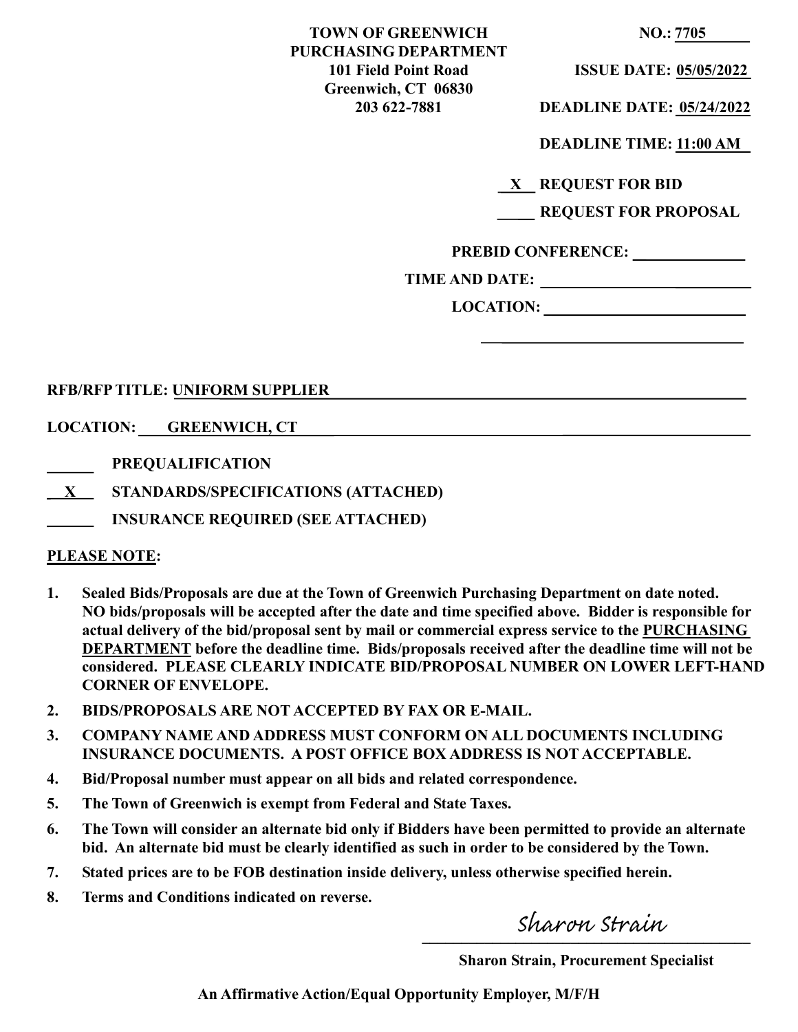| <b>TOWN OF GREENWICH</b>     |
|------------------------------|
| <b>PURCHASING DEPARTMENT</b> |
| 101 Field Point Road         |
| Greenwich, CT 06830          |
| 203 622-7881                 |

**NO.:** 7705

**101 ISSUE DATE: 05/05/2022** 

**203 622-7881 DEADLINE DATE: 05/24/2022** 

**DEADLINE TIME: 11:00 AM** 

**X REQUEST FOR BID**

|  |  | <b>REQUEST FOR PROPOSAL</b> |  |
|--|--|-----------------------------|--|
|--|--|-----------------------------|--|

**PREBID CONFERENCE:** 

**TIME AND DATE:** 

**LOCATION:** 

# **RFB/RFP TITLE: UNIFORM SUPPLIER**

**LOCATION: GREENWICH, CT**

- **PREQUALIFICATION**
- **X STANDARDS/SPECIFICATIONS (ATTACHED)**
- **INSURANCE REQUIRED (SEE ATTACHED)**

# **PLEASE NOTE:**

- **1. Sealed Bids/Proposals are due at the Town of Greenwich Purchasing Department on date noted. NO bids/proposals will be accepted after the date and time specified above. Bidder is responsible for actual delivery of the bid/proposal sent by mail or commercial express service to the PURCHASING DEPARTMENT before the deadline time. Bids/proposals received after the deadline time will not be considered. PLEASE CLEARLY INDICATE BID/PROPOSAL NUMBER ON LOWER LEFT-HAND CORNER OF ENVELOPE.**
- **2. BIDS/PROPOSALS ARE NOT ACCEPTED BY FAX OR E-MAIL.**
- **3. COMPANY NAME AND ADDRESS MUST CONFORM ON ALL DOCUMENTS INCLUDING INSURANCE DOCUMENTS. A POST OFFICE BOX ADDRESS IS NOT ACCEPTABLE.**
- **4. Bid/Proposal number must appear on all bids and related correspondence.**
- **5. The Town of Greenwich is exempt from Federal and State Taxes.**
- **6. The Town will consider an alternate bid only if Bidders have been permitted to provide an alternate bid. An alternate bid must be clearly identified as such in order to be considered by the Town.**
- **7. Stated prices are to be FOB destination inside delivery, unless otherwise specified herein.**
- **8. Terms and Conditions indicated on reverse.**

 $\frac{1}{2}$ 

 **Sharon Strain, Procurement Specialist**

**An Affirmative Action/Equal Opportunity Employer, M/F/H**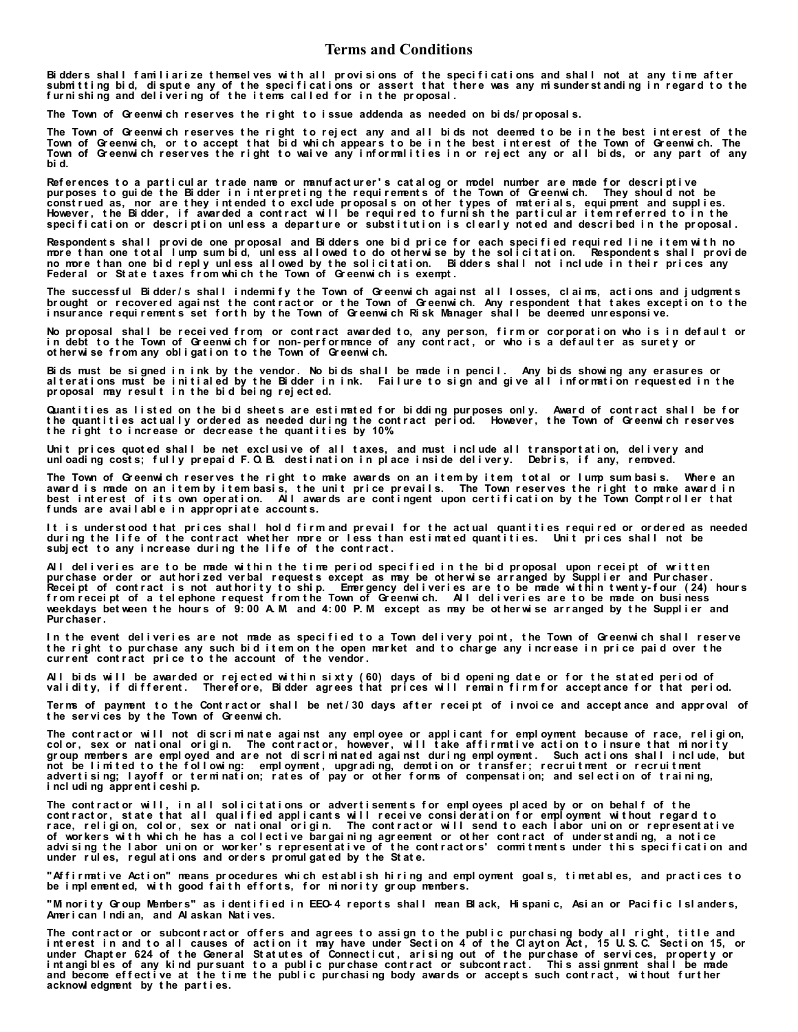#### **Terms and Conditions**

Bidders shall familiarize themselves with all provisions of the specifications and shall not at any time after sub mitting bid, dispute any of the specifications or assert that there was any misunderstanding in regard to the **f ur ni shi ng and del i ver i ng of t he i t ems cal l ed f or i n t he pr oposal .**

The Town of Greenwich reserves the right to issue addenda as needed on bids/proposals.

The Town of Greenwich reserves the right to reject any and all bids not deemed to be in the best interest of the Town of Greenwich, or to accept that bid which appears to be in the best interest of the Town of Greenwich. The Town of Greenwich reserves the right to waive any informalities in or reject any or all bids, or any part of any **bi d.**

References to a particul ar trade name or manufacturer's catal og or model number are made for descriptive pur poses to guide the Bidder in interpreting the requirements of the Town of Greenwich. They should not be construed as, nor are they intended to exclude proposals on other types of materials, equipment and supplies. However, the Bidder, if awarded a contract will be required to furnish the particular item referred to in the specification or description unless a departure or substitution is clearly noted and described in the proposal.

Respondents shall provide one proposal and Bidders one bid price for each specified required line item with no **mor e t han one t ot al l ump sum bi d, unl ess al l owed t o do ot her wi se by t he sol i ci t at i on. Respondent s shal l pr ovi de no mor e t han one bi d r epl y unl ess al l owed by t he sol i ci t at i on. Bi dder s shal l not i ncl ude i n t hei r pr i ces any Feder al or St at e t axes f r om whi ch t he Town of Gr eenwi ch i s exempt .**

The successful Bidder/s shall indermify the Town of Greenwich against all losses, claims, actions and judgments **br ought or r ecover ed agai nst t he cont r act or or t he Town of Gr eenwi ch. Any r espondent t hat t akes except i on t o t he i nsur ance r equi r ement s set f or t h by t he Town of Gr eenwi ch Ri sk Manager shal l be deemed unr esponsi ve.**

**No pr oposal shal l be r ecei ved f r om, or cont r act awar ded t o, any per son, f i r m or cor por at i on who i s i n def aul t or i n debt t o t he Town of Gr eenwi ch f or non- per f or mance of any cont r act , or who i s a def aul t er as sur et y or ot her wi se f r om any obl i gat i on t o t he Town of Gr eenwi ch.**

**Bi ds must be si gned i n i nk by t he vendor . No bi ds shal l be made i n penci l . Any bi ds showi ng any er asur es or al t er at i ons must be i ni t i al ed by t he Bi dder i n i nk. Fai l ur e t o si gn and gi ve al l i nf or mat i on r equest ed i n t he pr oposal may r esul t i n t he bi d bei ng r ej ect ed.**

Quantities as listed on the bid sheets are estimated for bidding purposes only. Award of contract shall be for the quantities actually ordered as needed during the contract period. However, the Town of Greenwich reserves **t he r i ght t o i ncr ease or decr ease t he quant i t i es by 10%.**

Unit prices quoted shall be net exclusive of all taxes, and must include all transportation, delivery and unl oading costs; fully prepaid F. Q. B. destination in place inside delivery. Debris, if any, removed.

**The Town of Gr eenwi ch r eser ves t he r i ght t o make awar ds on an i t em by i t em, t ot al or l ump sum basi s. Wher e an**  award is made on an item by item basis, the unit price prevails. The Town reserves the right to make award in **best i nt er est of i t s own oper at i on. Al l awar ds ar e cont i ngent upon cer t i f i cat i on by t he Town Compt r ol l er t hat f unds ar e avai l abl e i n appr opr i at e account s.**

It is understood that prices shall hold firm and prevail for the actual quantities required or ordered as needed during the life of the contract whether more or less than estimated quantities. Unit prices shall not be **subj ect t o any i ncr ease dur i ng t he l i f e of t he cont r act .**

All deliveries are to be made within the time period specified in the bid proposal upon receipt of written **pur chase or der or aut hor i zed ver bal r equest s except as may be ot her wi se ar r anged by Suppl i er and Pur chaser . Recei pt of cont r act i s not aut hor i t y t o shi p. Emer gency del i ver i es ar e t o be made wi t hi n t went y- f our ( 24) hour s f r om r ecei pt of a t el ephone r equest f r om t he Town of Gr eenwi ch. Al l del i ver i es ar e t o be made on busi ness weekdays bet ween t he hour s of 9: 00 A. M. and 4: 00 P. M. except as may be ot her wi se ar r anged by t he Suppl i er and Pur chaser .**

In the event deliveries are not made as specified to a Town delivery point, the Town of Greenwich shall reserve **t he r i ght t o pur chase any such bi d i t em on t he open mar ket and t o char ge any i ncr ease i n pr i ce pai d over t he cur r ent cont r act pr i ce t o t he account of t he vendor .**

**Al l bi ds wi l l be awar ded or r ej ect ed wi t hi n si xt y ( 60) days of bi d openi ng dat e or f or t he st at ed per i od of val i di t y, i f di f f er ent . Ther ef or e, Bi dder agr ees t hat pr i ces wi l l r emai n f i r m f or accept ance f or t hat per i od.**

Ter ms of payment to the Contractor shall be net/30 days after receipt of invoice and acceptance and approval of **t he ser vi ces by t he Town of Gr eenwi ch.**

**The cont r act or wi l l not di scr i mi nat e agai nst any empl oyee or appl i cant f or empl oyment because of r ace, r el i gi on,**  color, sex or national origin. The contractor, however, will take affirmative action to insure that minority gr oup members are employed and are not discriminated against during employment. Such actions shall include, but **not be l i mi t ed t o t he f ol l owi ng: empl oyment , upgr adi ng, demot i on or t r ansf er ; r ecr ui t ment or r ecr ui t ment adver t i si ng; l ayof f or t er mi nat i on; r at es of pay or ot her f or ms of compensat i on; and sel ect i on of t r ai ni ng, i ncl udi ng appr ent i ceshi p.**

The contractor will, in all solicitations or advertisements for employees placed by or on behalf of the **cont r act or , st at e t hat al l qual i f i ed appl i cant s wi l l r ecei ve consi der at i on f or empl oyment wi t hout r egar d t o**  race, religion, color, sex or national origin. The contractor will send to each labor union or representative of workers with which he has a collective bargaining agreement or other contract of understanding, a notice **in advi si ng t he l abor uni on or wor ker ' s r epr esent at i ve of t he cont r act or s' commi t ment s under t hi s speci f i cat i on and under r ul es, r egul at i ons and or der s pr omul gat ed by t he St at e.**

**"Af f i r mat i ve Act i on" means pr ocedur es whi ch est abl i sh hi r i ng and empl oyment goal s, t i met abl es, and pr act i ces t o**  be implemented, with good faith efforts, for minority group members.

"Mi nority Group Members" as identified in EEO-4 reports shall mean Black, Hispanic, Asian or Pacific Islanders, **Amer i can I ndi an, and Al askan Nat i ves.**

**The cont r act or or subcont r act or of f er s and agr ees t o assi gn t o t he publ i c pur chasi ng body al l r i ght , t i t l e and**  interest in and to all causes of action it may have under Section 4 of the Clayton Act, 15 U.S.C. Section 15, or **under Chapt er 624 of t he Gener al St at ut es of Connect i cut , ar i si ng out of t he pur chase of ser vi ces, pr oper t y or**  intangibles of any kind pursuant to a public purchase contract or subcontract. This assignment shall be made **and become ef f ect i ve at t he t i me t he publ i c pur chasi ng body awar ds or accept s such cont r act , wi t hout f ur t her acknowl edgment by t he par t i es.**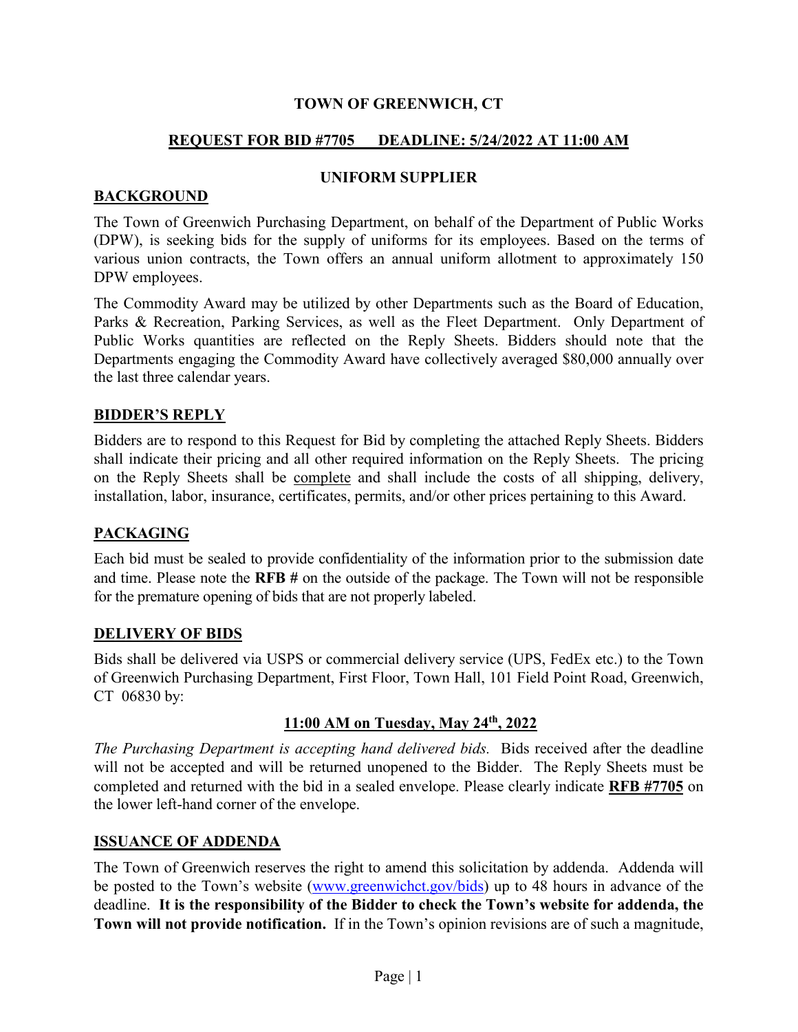# **REQUEST FOR BID #7705 DEADLINE: 5/24/2022 AT 11:00 AM**

# **BACKGROUND**

#### **UNIFORM SUPPLIER**

The Town of Greenwich Purchasing Department, on behalf of the Department of Public Works (DPW), is seeking bids for the supply of uniforms for its employees. Based on the terms of various union contracts, the Town offers an annual uniform allotment to approximately 150 DPW employees.

The Commodity Award may be utilized by other Departments such as the Board of Education, Parks & Recreation, Parking Services, as well as the Fleet Department. Only Department of Public Works quantities are reflected on the Reply Sheets. Bidders should note that the Departments engaging the Commodity Award have collectively averaged \$80,000 annually over the last three calendar years.

## **BIDDER'S REPLY**

Bidders are to respond to this Request for Bid by completing the attached Reply Sheets. Bidders shall indicate their pricing and all other required information on the Reply Sheets. The pricing on the Reply Sheets shall be complete and shall include the costs of all shipping, delivery, installation, labor, insurance, certificates, permits, and/or other prices pertaining to this Award.

# **PACKAGING**

Each bid must be sealed to provide confidentiality of the information prior to the submission date and time. Please note the **RFB #** on the outside of the package. The Town will not be responsible for the premature opening of bids that are not properly labeled.

#### **DELIVERY OF BIDS**

Bids shall be delivered via USPS or commercial delivery service (UPS, FedEx etc.) to the Town of Greenwich Purchasing Department, First Floor, Town Hall, 101 Field Point Road, Greenwich, CT 06830 by:

# **11:00 AM on Tuesday, May 24th, 2022**

*The Purchasing Department is accepting hand delivered bids.* Bids received after the deadline will not be accepted and will be returned unopened to the Bidder. The Reply Sheets must be completed and returned with the bid in a sealed envelope. Please clearly indicate **RFB #7705** on the lower left-hand corner of the envelope.

#### **ISSUANCE OF ADDENDA**

The Town of Greenwich reserves the right to amend this solicitation by addenda. Addenda will be posted to the Town's website [\(www.greenwichct.gov/bids\)](http://www.greenwichct.gov/bids) up to 48 hours in advance of the deadline. **It is the responsibility of the Bidder to check the Town's website for addenda, the Town will not provide notification.** If in the Town's opinion revisions are of such a magnitude,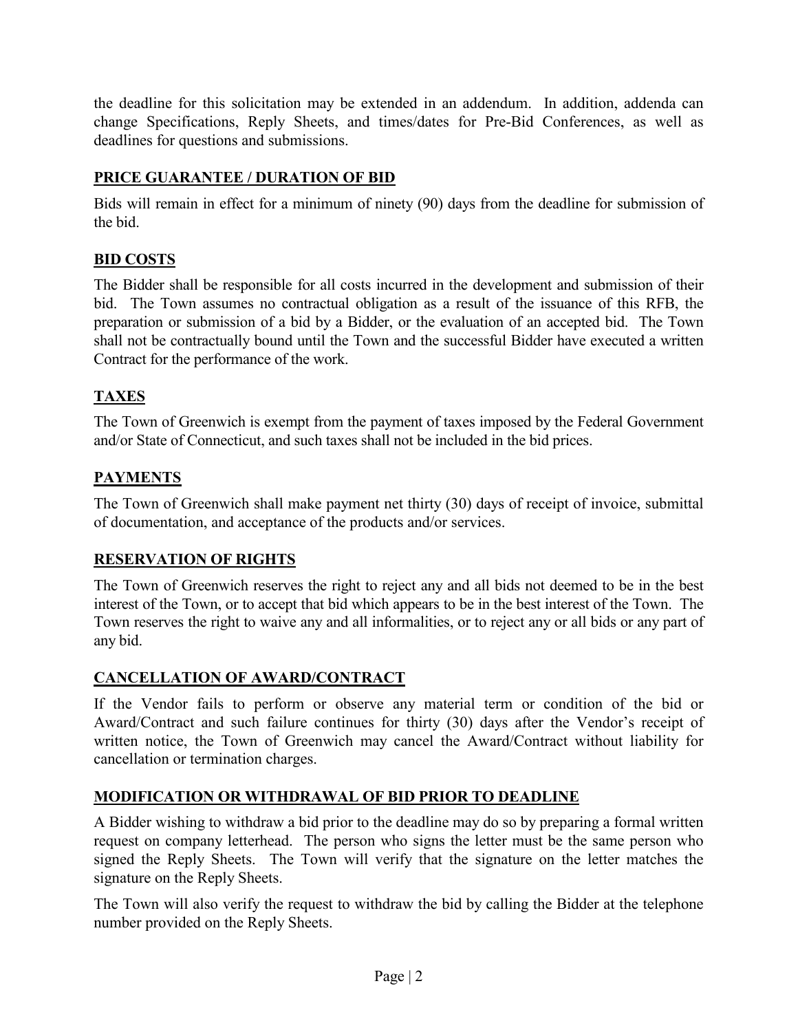the deadline for this solicitation may be extended in an addendum. In addition, addenda can change Specifications, Reply Sheets, and times/dates for Pre-Bid Conferences, as well as deadlines for questions and submissions.

# **PRICE GUARANTEE / DURATION OF BID**

Bids will remain in effect for a minimum of ninety (90) days from the deadline for submission of the bid.

# **BID COSTS**

The Bidder shall be responsible for all costs incurred in the development and submission of their bid. The Town assumes no contractual obligation as a result of the issuance of this RFB, the preparation or submission of a bid by a Bidder, or the evaluation of an accepted bid. The Town shall not be contractually bound until the Town and the successful Bidder have executed a written Contract for the performance of the work.

# **TAXES**

The Town of Greenwich is exempt from the payment of taxes imposed by the Federal Government and/or State of Connecticut, and such taxes shall not be included in the bid prices.

# **PAYMENTS**

The Town of Greenwich shall make payment net thirty (30) days of receipt of invoice, submittal of documentation, and acceptance of the products and/or services.

# **RESERVATION OF RIGHTS**

The Town of Greenwich reserves the right to reject any and all bids not deemed to be in the best interest of the Town, or to accept that bid which appears to be in the best interest of the Town. The Town reserves the right to waive any and all informalities, or to reject any or all bids or any part of any bid.

# **CANCELLATION OF AWARD/CONTRACT**

If the Vendor fails to perform or observe any material term or condition of the bid or Award/Contract and such failure continues for thirty (30) days after the Vendor's receipt of written notice, the Town of Greenwich may cancel the Award/Contract without liability for cancellation or termination charges.

# **MODIFICATION OR WITHDRAWAL OF BID PRIOR TO DEADLINE**

A Bidder wishing to withdraw a bid prior to the deadline may do so by preparing a formal written request on company letterhead. The person who signs the letter must be the same person who signed the Reply Sheets. The Town will verify that the signature on the letter matches the signature on the Reply Sheets.

The Town will also verify the request to withdraw the bid by calling the Bidder at the telephone number provided on the Reply Sheets.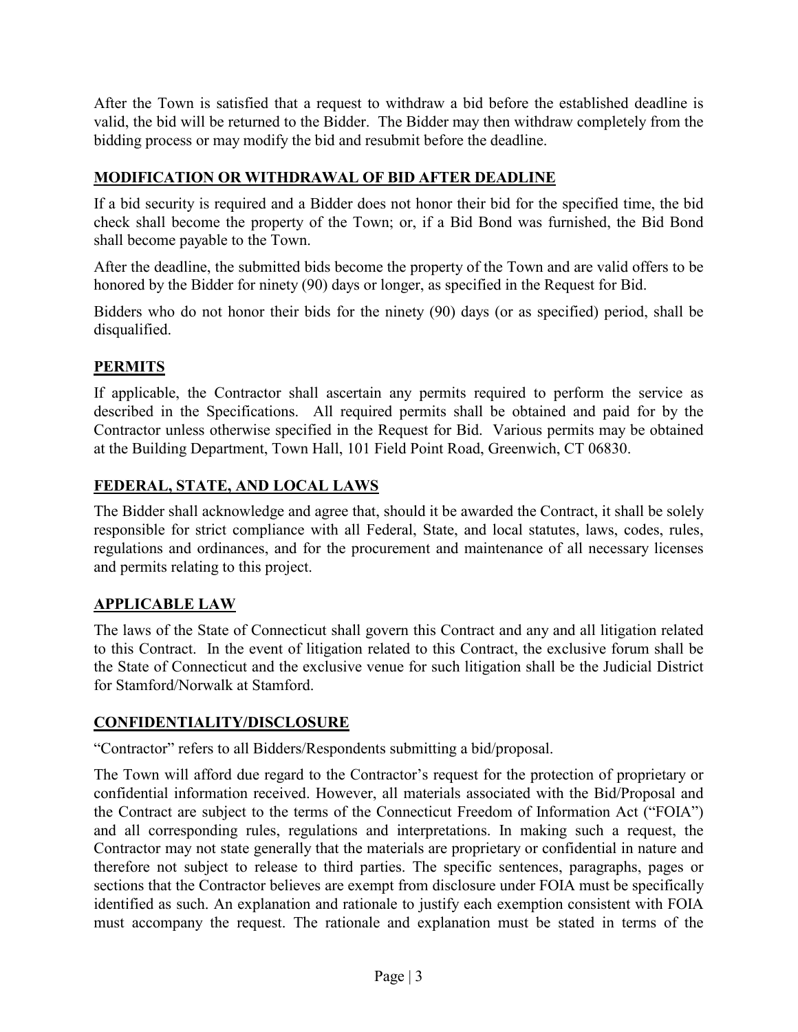After the Town is satisfied that a request to withdraw a bid before the established deadline is valid, the bid will be returned to the Bidder. The Bidder may then withdraw completely from the bidding process or may modify the bid and resubmit before the deadline.

# **MODIFICATION OR WITHDRAWAL OF BID AFTER DEADLINE**

If a bid security is required and a Bidder does not honor their bid for the specified time, the bid check shall become the property of the Town; or, if a Bid Bond was furnished, the Bid Bond shall become payable to the Town.

After the deadline, the submitted bids become the property of the Town and are valid offers to be honored by the Bidder for ninety (90) days or longer, as specified in the Request for Bid.

Bidders who do not honor their bids for the ninety (90) days (or as specified) period, shall be disqualified.

# **PERMITS**

If applicable, the Contractor shall ascertain any permits required to perform the service as described in the Specifications. All required permits shall be obtained and paid for by the Contractor unless otherwise specified in the Request for Bid. Various permits may be obtained at the Building Department, Town Hall, 101 Field Point Road, Greenwich, CT 06830.

# **FEDERAL, STATE, AND LOCAL LAWS**

The Bidder shall acknowledge and agree that, should it be awarded the Contract, it shall be solely responsible for strict compliance with all Federal, State, and local statutes, laws, codes, rules, regulations and ordinances, and for the procurement and maintenance of all necessary licenses and permits relating to this project.

# **APPLICABLE LAW**

The laws of the State of Connecticut shall govern this Contract and any and all litigation related to this Contract. In the event of litigation related to this Contract, the exclusive forum shall be the State of Connecticut and the exclusive venue for such litigation shall be the Judicial District for Stamford/Norwalk at Stamford.

# **CONFIDENTIALITY/DISCLOSURE**

"Contractor" refers to all Bidders/Respondents submitting a bid/proposal.

The Town will afford due regard to the Contractor's request for the protection of proprietary or confidential information received. However, all materials associated with the Bid/Proposal and the Contract are subject to the terms of the Connecticut Freedom of Information Act ("FOIA") and all corresponding rules, regulations and interpretations. In making such a request, the Contractor may not state generally that the materials are proprietary or confidential in nature and therefore not subject to release to third parties. The specific sentences, paragraphs, pages or sections that the Contractor believes are exempt from disclosure under FOIA must be specifically identified as such. An explanation and rationale to justify each exemption consistent with FOIA must accompany the request. The rationale and explanation must be stated in terms of the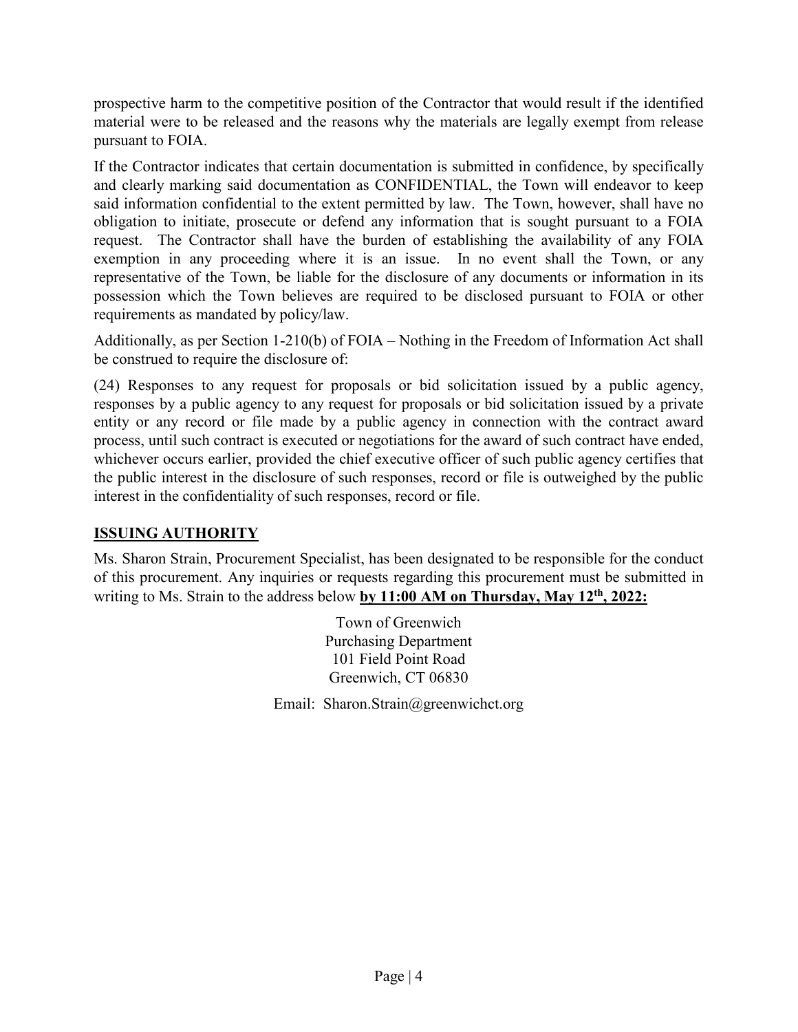prospective harm to the competitive position of the Contractor that would result if the identified material were to be released and the reasons why the materials are legally exempt from release pursuant to FOIA.

If the Contractor indicates that certain documentation is submitted in confidence, by specifically and clearly marking said documentation as CONFIDENTIAL, the Town will endeavor to keep said information confidential to the extent permitted by law. The Town, however, shall have no obligation to initiate, prosecute or defend any information that is sought pursuant to a FOIA request. The Contractor shall have the burden of establishing the availability of any FOIA exemption in any proceeding where it is an issue. In no event shall the Town, or any representative of the Town, be liable for the disclosure of any documents or information in its possession which the Town believes are required to be disclosed pursuant to FOIA or other requirements as mandated by policy/law.

Additionally, as per Section 1-210(b) of FOIA – Nothing in the Freedom of Information Act shall be construed to require the disclosure of:

(24) Responses to any request for proposals or bid solicitation issued by a public agency, responses by a public agency to any request for proposals or bid solicitation issued by a private entity or any record or file made by a public agency in connection with the contract award process, until such contract is executed or negotiations for the award of such contract have ended, whichever occurs earlier, provided the chief executive officer of such public agency certifies that the public interest in the disclosure of such responses, record or file is outweighed by the public interest in the confidentiality of such responses, record or file.

# **ISSUING AUTHORITY**

Ms. Sharon Strain, Procurement Specialist, has been designated to be responsible for the conduct of this procurement. Any inquiries or requests regarding this procurement must be submitted in writing to Ms. Strain to the address below **by 11:00 AM on Thursday, May 12th, 2022:**

> Town of Greenwich Purchasing Department 101 Field Point Road Greenwich, CT 06830

Email: Sharon.Strain@greenwichct.org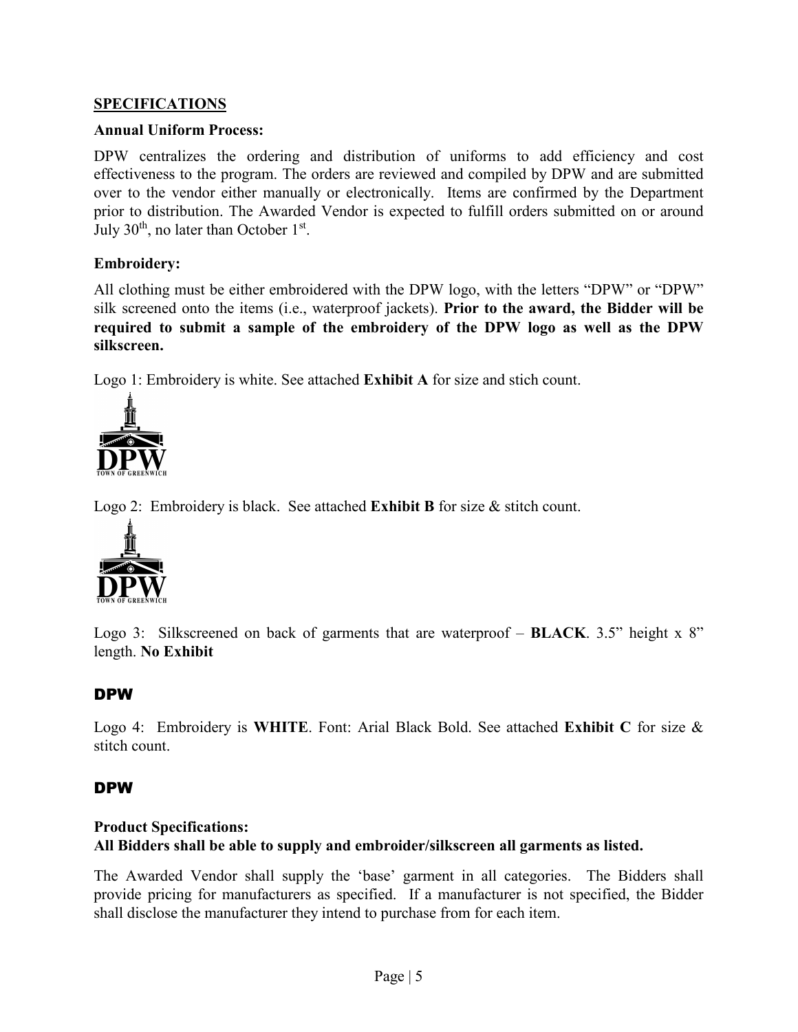# **SPECIFICATIONS**

#### **Annual Uniform Process:**

DPW centralizes the ordering and distribution of uniforms to add efficiency and cost effectiveness to the program. The orders are reviewed and compiled by DPW and are submitted over to the vendor either manually or electronically. Items are confirmed by the Department prior to distribution. The Awarded Vendor is expected to fulfill orders submitted on or around July  $30<sup>th</sup>$ , no later than October  $1<sup>st</sup>$ .

#### **Embroidery:**

All clothing must be either embroidered with the DPW logo, with the letters "DPW" or "DPW" silk screened onto the items (i.e., waterproof jackets). **Prior to the award, the Bidder will be required to submit a sample of the embroidery of the DPW logo as well as the DPW silkscreen.**

Logo 1: Embroidery is white. See attached **Exhibit A** for size and stich count.



Logo 2: Embroidery is black. See attached **Exhibit B** for size & stitch count.



Logo 3: Silkscreened on back of garments that are waterproof – **BLACK**. 3.5" height x 8" length. **No Exhibit**

# DPW

Logo 4: Embroidery is **WHITE**. Font: Arial Black Bold. See attached **Exhibit C** for size & stitch count.

#### DPW

## **Product Specifications: All Bidders shall be able to supply and embroider/silkscreen all garments as listed.**

The Awarded Vendor shall supply the 'base' garment in all categories. The Bidders shall provide pricing for manufacturers as specified. If a manufacturer is not specified, the Bidder shall disclose the manufacturer they intend to purchase from for each item.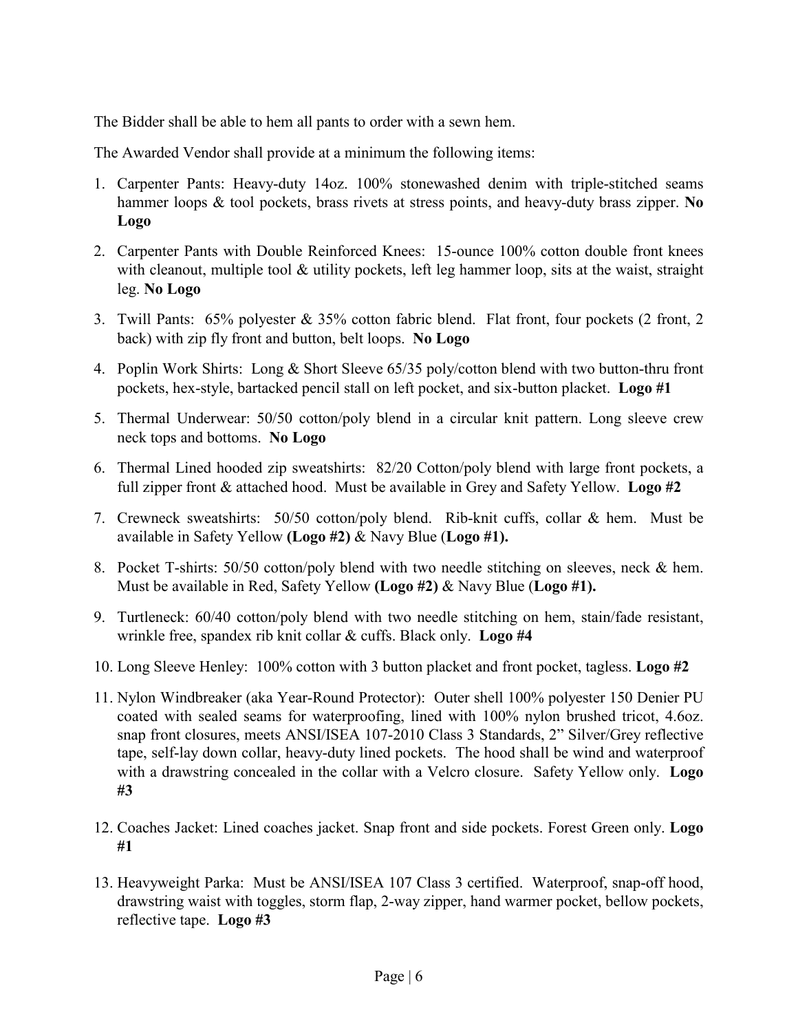The Bidder shall be able to hem all pants to order with a sewn hem.

The Awarded Vendor shall provide at a minimum the following items:

- 1. Carpenter Pants: Heavy-duty 14oz. 100% stonewashed denim with triple-stitched seams hammer loops & tool pockets, brass rivets at stress points, and heavy-duty brass zipper. **No Logo**
- 2. Carpenter Pants with Double Reinforced Knees: 15-ounce 100% cotton double front knees with cleanout, multiple tool & utility pockets, left leg hammer loop, sits at the waist, straight leg. **No Logo**
- 3. Twill Pants: 65% polyester & 35% cotton fabric blend. Flat front, four pockets (2 front, 2 back) with zip fly front and button, belt loops. **No Logo**
- 4. Poplin Work Shirts: Long & Short Sleeve 65/35 poly/cotton blend with two button-thru front pockets, hex-style, bartacked pencil stall on left pocket, and six-button placket. **Logo #1**
- 5. Thermal Underwear: 50/50 cotton/poly blend in a circular knit pattern. Long sleeve crew neck tops and bottoms. **No Logo**
- 6. Thermal Lined hooded zip sweatshirts: 82/20 Cotton/poly blend with large front pockets, a full zipper front & attached hood. Must be available in Grey and Safety Yellow. **Logo #2**
- 7. Crewneck sweatshirts: 50/50 cotton/poly blend. Rib-knit cuffs, collar & hem. Must be available in Safety Yellow **(Logo #2)** & Navy Blue (**Logo #1).**
- 8. Pocket T-shirts: 50/50 cotton/poly blend with two needle stitching on sleeves, neck & hem. Must be available in Red, Safety Yellow **(Logo #2)** & Navy Blue (**Logo #1).**
- 9. Turtleneck: 60/40 cotton/poly blend with two needle stitching on hem, stain/fade resistant, wrinkle free, spandex rib knit collar & cuffs. Black only. **Logo #4**
- 10. Long Sleeve Henley: 100% cotton with 3 button placket and front pocket, tagless. **Logo #2**
- 11. Nylon Windbreaker (aka Year-Round Protector): Outer shell 100% polyester 150 Denier PU coated with sealed seams for waterproofing, lined with 100% nylon brushed tricot, 4.6oz. snap front closures, meets ANSI/ISEA 107-2010 Class 3 Standards, 2" Silver/Grey reflective tape, self-lay down collar, heavy-duty lined pockets. The hood shall be wind and waterproof with a drawstring concealed in the collar with a Velcro closure. Safety Yellow only. **Logo #3**
- 12. Coaches Jacket: Lined coaches jacket. Snap front and side pockets. Forest Green only. **Logo #1**
- 13. Heavyweight Parka: Must be ANSI/ISEA 107 Class 3 certified. Waterproof, snap-off hood, drawstring waist with toggles, storm flap, 2-way zipper, hand warmer pocket, bellow pockets, reflective tape. **Logo #3**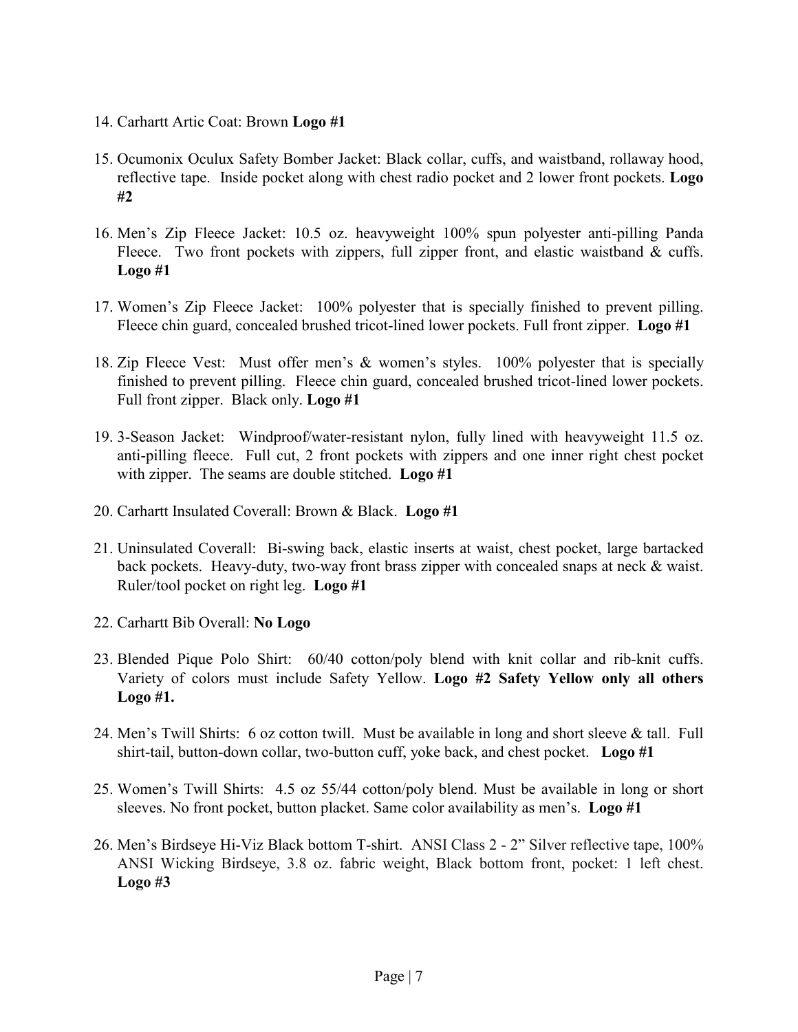- 14. Carhartt Artic Coat: Brown **Logo #1**
- 15. Ocumonix Oculux Safety Bomber Jacket: Black collar, cuffs, and waistband, rollaway hood, reflective tape. Inside pocket along with chest radio pocket and 2 lower front pockets. **Logo #2**
- 16. Men's Zip Fleece Jacket: 10.5 oz. heavyweight 100% spun polyester anti-pilling Panda Fleece. Two front pockets with zippers, full zipper front, and elastic waistband & cuffs. **Logo #1**
- 17. Women's Zip Fleece Jacket: 100% polyester that is specially finished to prevent pilling. Fleece chin guard, concealed brushed tricot-lined lower pockets. Full front zipper. **Logo #1**
- 18. Zip Fleece Vest: Must offer men's & women's styles. 100% polyester that is specially finished to prevent pilling. Fleece chin guard, concealed brushed tricot-lined lower pockets. Full front zipper. Black only. **Logo #1**
- 19. 3-Season Jacket: Windproof/water-resistant nylon, fully lined with heavyweight 11.5 oz. anti-pilling fleece. Full cut, 2 front pockets with zippers and one inner right chest pocket with zipper. The seams are double stitched. **Logo #1**
- 20. Carhartt Insulated Coverall: Brown & Black. **Logo #1**
- 21. Uninsulated Coverall: Bi-swing back, elastic inserts at waist, chest pocket, large bartacked back pockets. Heavy-duty, two-way front brass zipper with concealed snaps at neck & waist. Ruler/tool pocket on right leg. **Logo #1**
- 22. Carhartt Bib Overall: **No Logo**
- 23. Blended Pique Polo Shirt: 60/40 cotton/poly blend with knit collar and rib-knit cuffs. Variety of colors must include Safety Yellow. **Logo #2 Safety Yellow only all others Logo #1.**
- 24. Men's Twill Shirts: 6 oz cotton twill. Must be available in long and short sleeve & tall. Full shirt-tail, button-down collar, two-button cuff, yoke back, and chest pocket. **Logo #1**
- 25. Women's Twill Shirts: 4.5 oz 55/44 cotton/poly blend. Must be available in long or short sleeves. No front pocket, button placket. Same color availability as men's. **Logo #1**
- 26. Men's Birdseye Hi-Viz Black bottom T-shirt. ANSI Class 2 2" Silver reflective tape, 100% ANSI Wicking Birdseye, 3.8 oz. fabric weight, Black bottom front, pocket: 1 left chest. **Logo #3**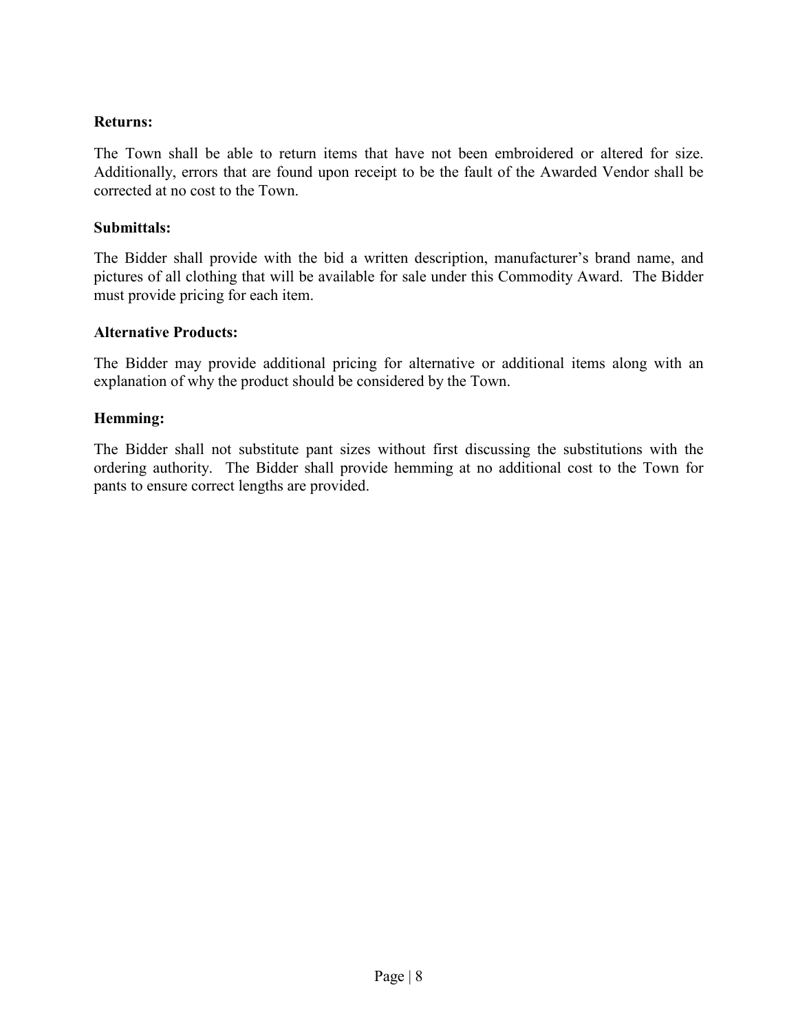# **Returns:**

The Town shall be able to return items that have not been embroidered or altered for size. Additionally, errors that are found upon receipt to be the fault of the Awarded Vendor shall be corrected at no cost to the Town.

#### **Submittals:**

The Bidder shall provide with the bid a written description, manufacturer's brand name, and pictures of all clothing that will be available for sale under this Commodity Award. The Bidder must provide pricing for each item.

#### **Alternative Products:**

The Bidder may provide additional pricing for alternative or additional items along with an explanation of why the product should be considered by the Town.

#### **Hemming:**

The Bidder shall not substitute pant sizes without first discussing the substitutions with the ordering authority. The Bidder shall provide hemming at no additional cost to the Town for pants to ensure correct lengths are provided.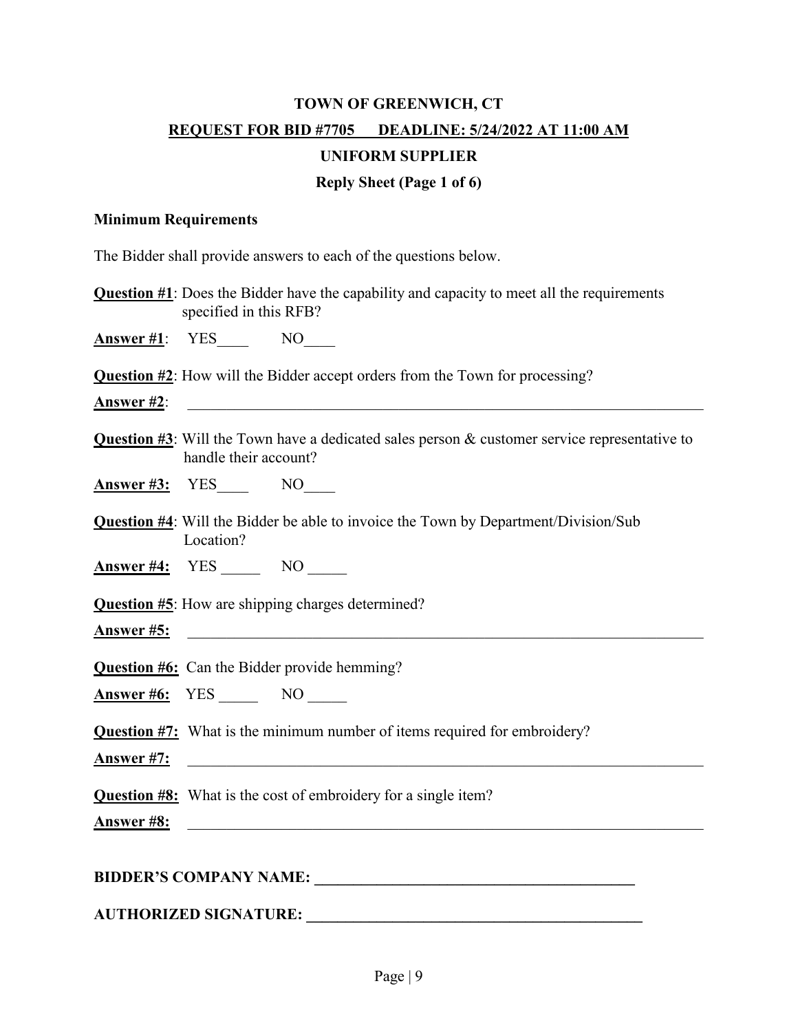# **TOWN OF GREENWICH, CT REQUEST FOR BID #7705 DEADLINE: 5/24/2022 AT 11:00 AM**

# **UNIFORM SUPPLIER**

# **Reply Sheet (Page 1 of 6)**

#### **Minimum Requirements**

The Bidder shall provide answers to each of the questions below.

**Question #1**: Does the Bidder have the capability and capacity to meet all the requirements specified in this RFB?

**Answer #1:** YES NO

**Question #2**: How will the Bidder accept orders from the Town for processing?

**Answer #2:**  $\blacksquare$ 

**Question #3**: Will the Town have a dedicated sales person & customer service representative to handle their account?

**Answer #3:** YES NO

**Question #4**: Will the Bidder be able to invoice the Town by Department/Division/Sub Location?

**Answer #4:** YES NO

**Question #5**: How are shipping charges determined?

Answer #5:

**Question #6:** Can the Bidder provide hemming?

**Answer #6:** YES NO

**Question #7:** What is the minimum number of items required for embroidery?

**Answer #7:**  $\blacksquare$ 

**Question #8:** What is the cost of embroidery for a single item?

**Answer #8:**  $\overline{a}$ 

#### **BIDDER'S COMPANY NAME: \_\_\_\_\_\_\_\_\_\_\_\_\_\_\_\_\_\_\_\_\_\_\_\_\_\_\_\_\_\_\_\_\_\_\_\_\_\_\_\_\_**

**AUTHORIZED SIGNATURE: \_\_\_\_\_\_\_\_\_\_\_\_\_\_\_\_\_\_\_\_\_\_\_\_\_\_\_\_\_\_\_\_\_\_\_\_\_\_\_\_\_\_\_**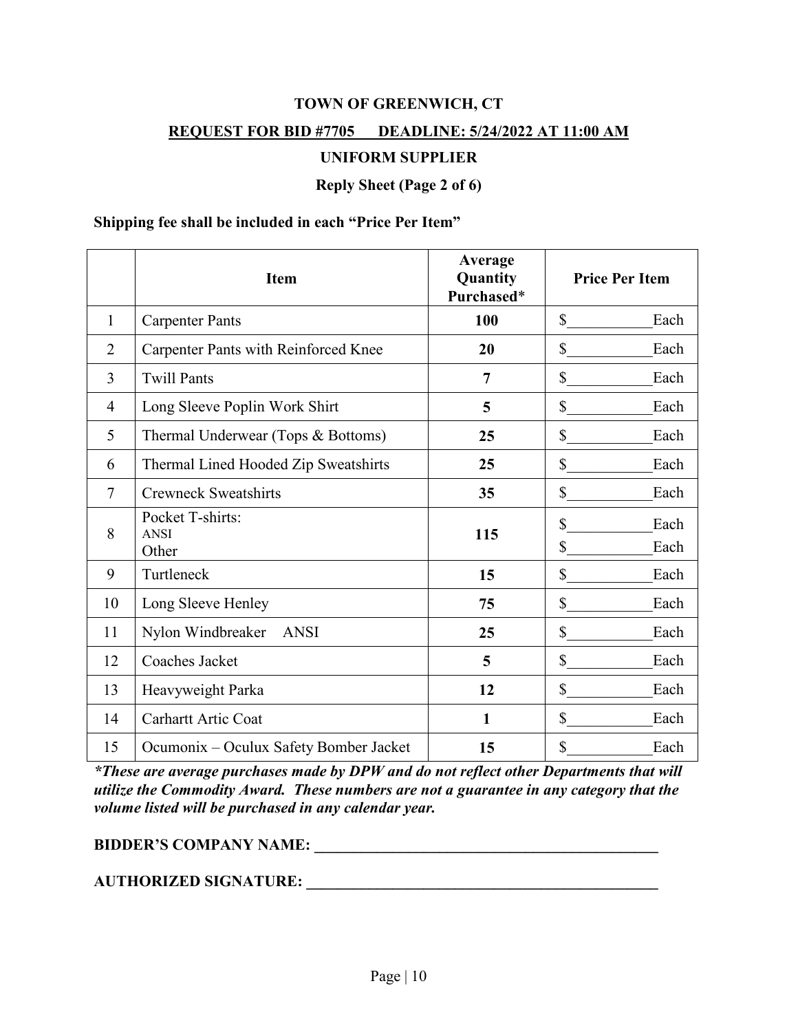#### **REQUEST FOR BID #7705 DEADLINE: 5/24/2022 AT 11:00 AM**

#### **UNIFORM SUPPLIER**

**Reply Sheet (Page 2 of 6)**

#### **Shipping fee shall be included in each "Price Per Item"**

|                | <b>Item</b>                                 | Average<br>Quantity<br>Purchased* | <b>Price Per Item</b>    |
|----------------|---------------------------------------------|-----------------------------------|--------------------------|
| $\mathbf{1}$   | <b>Carpenter Pants</b>                      | 100                               | \$<br>Each               |
| $\overline{2}$ | <b>Carpenter Pants with Reinforced Knee</b> | 20                                | \$<br>Each               |
| 3              | <b>Twill Pants</b>                          | $\overline{7}$                    | \$<br>Each               |
| $\overline{4}$ | Long Sleeve Poplin Work Shirt               | 5                                 | \$<br>Each               |
| 5              | Thermal Underwear (Tops & Bottoms)          | 25                                | \$<br>Each               |
| 6              | Thermal Lined Hooded Zip Sweatshirts        | 25                                | \$<br>Each               |
| 7              | <b>Crewneck Sweatshirts</b>                 | 35                                | \$<br>Each               |
| 8              | Pocket T-shirts:<br><b>ANSI</b><br>Other    | 115                               | \$<br>Each<br>\$<br>Each |
| 9              | Turtleneck                                  | 15                                | \$<br>Each               |
| 10             | Long Sleeve Henley                          | 75                                | \$<br>Each               |
| 11             | Nylon Windbreaker<br><b>ANSI</b>            | 25                                | \$<br>Each               |
| 12             | Coaches Jacket                              | 5                                 | \$<br>Each               |
| 13             | Heavyweight Parka                           | 12                                | \$<br>Each               |
| 14             | <b>Carhartt Artic Coat</b>                  | $\mathbf{1}$                      | \$<br>Each               |
| 15             | Ocumonix – Oculux Safety Bomber Jacket      | 15                                | \$<br>Each               |

*\*These are average purchases made by DPW and do not reflect other Departments that will utilize the Commodity Award. These numbers are not a guarantee in any category that the volume listed will be purchased in any calendar year.* 

## **BIDDER'S COMPANY NAME: \_\_\_\_\_\_\_\_\_\_\_\_\_\_\_\_\_\_\_\_\_\_\_\_\_\_\_\_\_\_\_\_\_\_\_\_\_\_\_\_\_\_\_\_**

## **AUTHORIZED SIGNATURE: \_\_\_\_\_\_\_\_\_\_\_\_\_\_\_\_\_\_\_\_\_\_\_\_\_\_\_\_\_\_\_\_\_\_\_\_\_\_\_\_\_\_\_\_\_**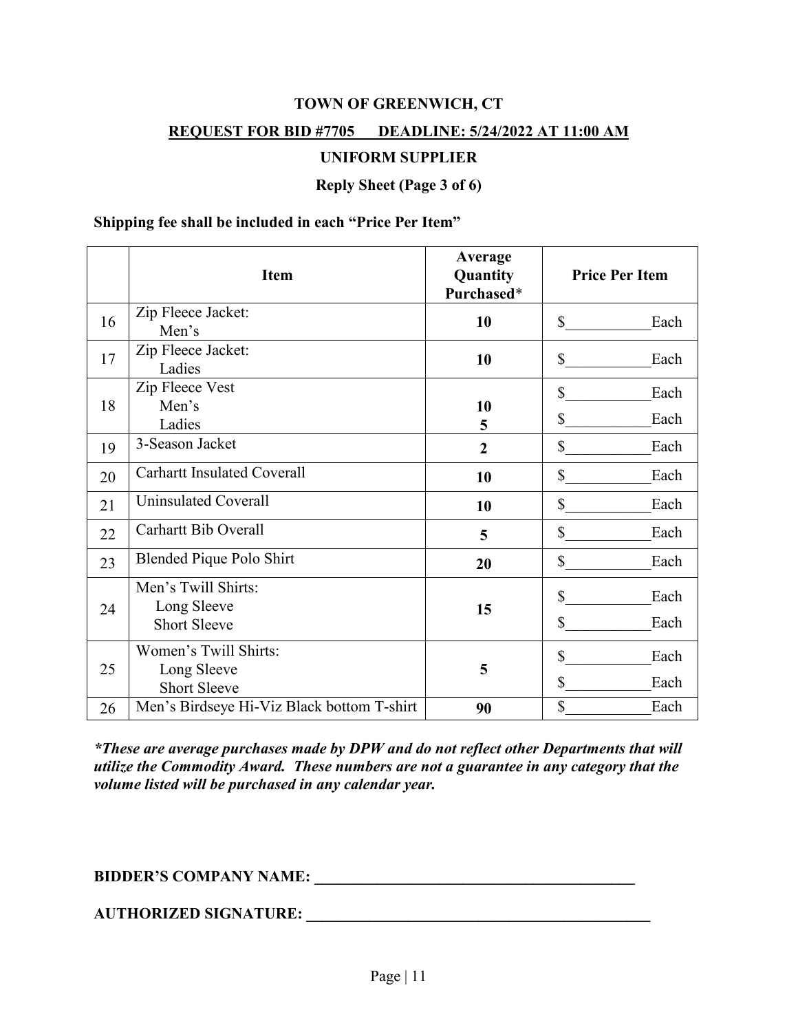#### **REQUEST FOR BID #7705 DEADLINE: 5/24/2022 AT 11:00 AM**

#### **UNIFORM SUPPLIER**

**Reply Sheet (Page 3 of 6)**

#### **Shipping fee shall be included in each "Price Per Item"**

|    | <b>Item</b>                                                 | Average<br>Quantity<br>Purchased* | <b>Price Per Item</b>              |  |
|----|-------------------------------------------------------------|-----------------------------------|------------------------------------|--|
| 16 | Zip Fleece Jacket:<br>Men's                                 | 10                                | $\mathbb{S}$<br>Each               |  |
| 17 | Zip Fleece Jacket:<br>Ladies                                | 10                                | \$<br>Each                         |  |
| 18 | Zip Fleece Vest<br>Men's<br>Ladies                          | 10<br>5                           | \$<br>Each<br>\$<br>Each           |  |
| 19 | 3-Season Jacket                                             | $\overline{2}$                    | \$<br>Each                         |  |
| 20 | <b>Carhartt Insulated Coverall</b>                          | 10                                | $\mathbb{S}$<br>Each               |  |
| 21 | <b>Uninsulated Coverall</b>                                 | 10                                | $\mathbb{S}$<br>Each               |  |
| 22 | <b>Carhartt Bib Overall</b>                                 | 5                                 | \$<br>Each                         |  |
| 23 | Blended Pique Polo Shirt                                    | 20                                | \$<br>Each                         |  |
| 24 | Men's Twill Shirts:<br>Long Sleeve<br><b>Short Sleeve</b>   | 15                                | \$<br>Each<br>$\mathbb{S}$<br>Each |  |
| 25 | Women's Twill Shirts:<br>Long Sleeve<br><b>Short Sleeve</b> | 5                                 | \$<br>Each<br>\$<br>Each           |  |
| 26 | Men's Birdseye Hi-Viz Black bottom T-shirt                  | 90                                | \$<br>Each                         |  |

*\*These are average purchases made by DPW and do not reflect other Departments that will utilize the Commodity Award. These numbers are not a guarantee in any category that the volume listed will be purchased in any calendar year.* 

# **BIDDER'S COMPANY NAME: \_\_\_\_\_\_\_\_\_\_\_\_\_\_\_\_\_\_\_\_\_\_\_\_\_\_\_\_\_\_\_\_\_\_\_\_\_\_\_\_\_**

**AUTHORIZED SIGNATURE: \_\_\_\_\_\_\_\_\_\_\_\_\_\_\_\_\_\_\_\_\_\_\_\_\_\_\_\_\_\_\_\_\_\_\_\_\_\_\_\_\_\_\_\_**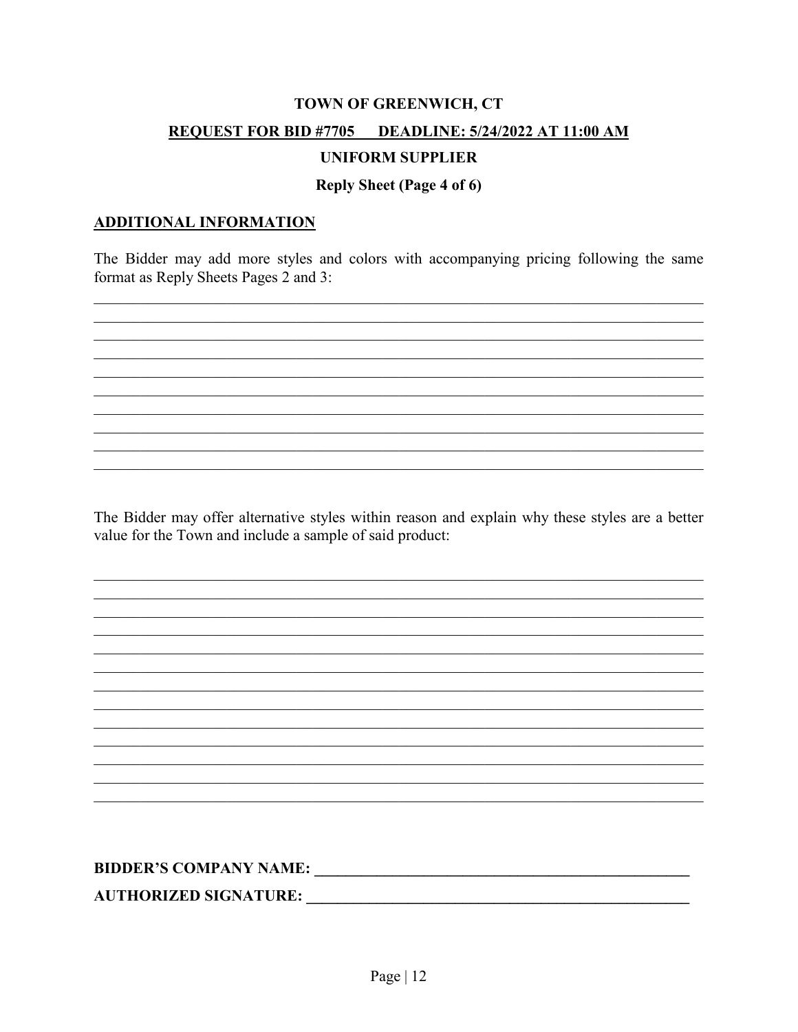## **REQUEST FOR BID #7705 DEADLINE: 5/24/2022 AT 11:00 AM**

## **UNIFORM SUPPLIER**

## **Reply Sheet (Page 4 of 6)**

#### **ADDITIONAL INFORMATION**

The Bidder may add more styles and colors with accompanying pricing following the same format as Reply Sheets Pages 2 and 3:

The Bidder may offer alternative styles within reason and explain why these styles are a better value for the Town and include a sample of said product: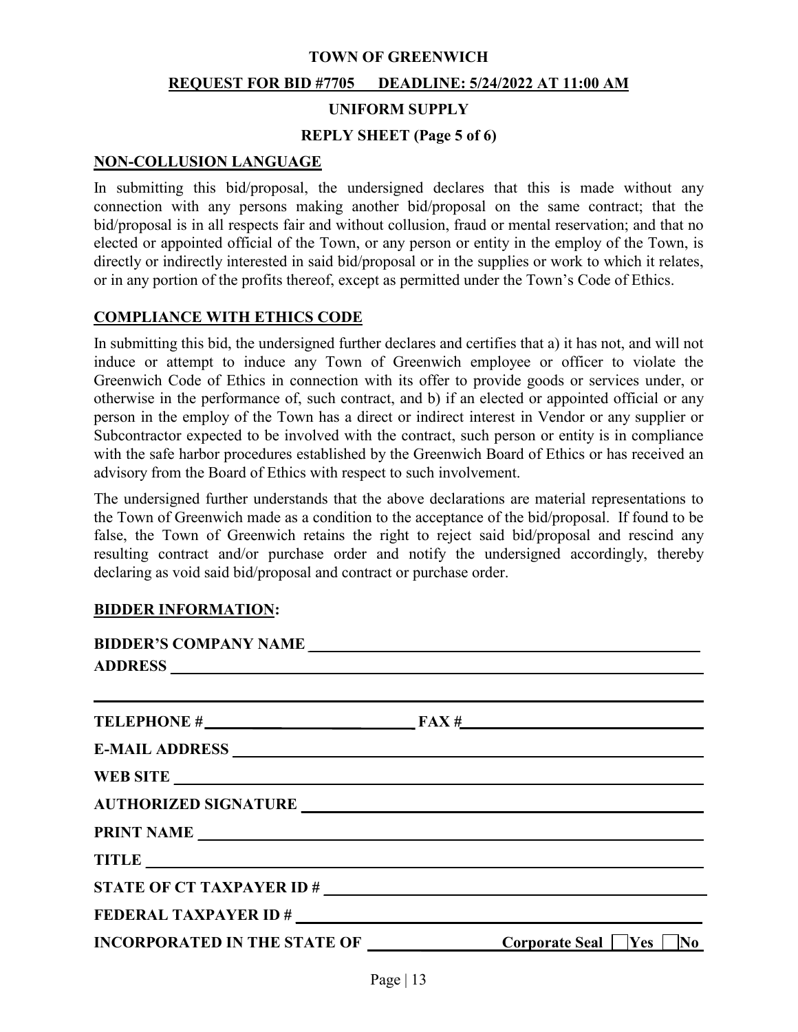#### **TOWN OF GREENWICH**

#### **REQUEST FOR BID #7705 DEADLINE: 5/24/2022 AT 11:00 AM**

#### **UNIFORM SUPPLY**

#### **REPLY SHEET (Page 5 of 6)**

#### **NON-COLLUSION LANGUAGE**

In submitting this bid/proposal, the undersigned declares that this is made without any connection with any persons making another bid/proposal on the same contract; that the bid/proposal is in all respects fair and without collusion, fraud or mental reservation; and that no elected or appointed official of the Town, or any person or entity in the employ of the Town, is directly or indirectly interested in said bid/proposal or in the supplies or work to which it relates, or in any portion of the profits thereof, except as permitted under the Town's Code of Ethics.

## **COMPLIANCE WITH ETHICS CODE**

In submitting this bid, the undersigned further declares and certifies that a) it has not, and will not induce or attempt to induce any Town of Greenwich employee or officer to violate the Greenwich Code of Ethics in connection with its offer to provide goods or services under, or otherwise in the performance of, such contract, and b) if an elected or appointed official or any person in the employ of the Town has a direct or indirect interest in Vendor or any supplier or Subcontractor expected to be involved with the contract, such person or entity is in compliance with the safe harbor procedures established by the Greenwich Board of Ethics or has received an advisory from the Board of Ethics with respect to such involvement.

The undersigned further understands that the above declarations are material representations to the Town of Greenwich made as a condition to the acceptance of the bid/proposal. If found to be false, the Town of Greenwich retains the right to reject said bid/proposal and rescind any resulting contract and/or purchase order and notify the undersigned accordingly, thereby declaring as void said bid/proposal and contract or purchase order.

#### **BIDDER INFORMATION:**

| BIDDER'S COMPANY NAME |                                                                                                                                                    |
|-----------------------|----------------------------------------------------------------------------------------------------------------------------------------------------|
|                       | <u> 1989 - Johann Harry Harry Harry Harry Harry Harry Harry Harry Harry Harry Harry Harry Harry Harry Harry Harry H</u><br>TELEPHONE $\#$ FAX $\#$ |
|                       |                                                                                                                                                    |
|                       |                                                                                                                                                    |
|                       |                                                                                                                                                    |
|                       |                                                                                                                                                    |
|                       | TITLE TITLE                                                                                                                                        |
|                       |                                                                                                                                                    |
| FEDERAL TAXPAYER ID # |                                                                                                                                                    |
|                       | INCORPORATED IN THE STATE OF $\qquad \qquad \qquad \qquad \qquad$ Corporate Seal $\qquad$ Yes $\Box$ No                                            |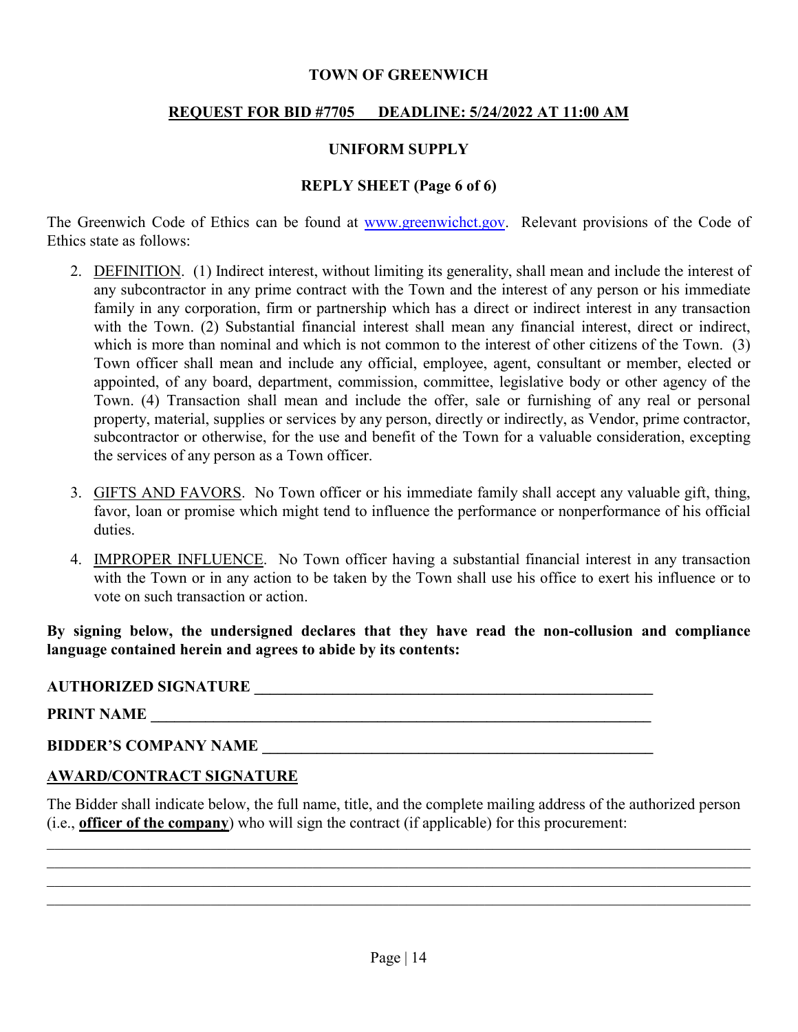## **TOWN OF GREENWICH**

# **REQUEST FOR BID #7705 DEADLINE: 5/24/2022 AT 11:00 AM**

# **UNIFORM SUPPLY**

# **REPLY SHEET (Page 6 of 6)**

The Greenwich Code of Ethics can be found at [www.greenwichct.gov.](http://www.greenwichct.gov/) Relevant provisions of the Code of Ethics state as follows:

- 2. DEFINITION. (1) Indirect interest, without limiting its generality, shall mean and include the interest of any subcontractor in any prime contract with the Town and the interest of any person or his immediate family in any corporation, firm or partnership which has a direct or indirect interest in any transaction with the Town. (2) Substantial financial interest shall mean any financial interest, direct or indirect, which is more than nominal and which is not common to the interest of other citizens of the Town. (3) Town officer shall mean and include any official, employee, agent, consultant or member, elected or appointed, of any board, department, commission, committee, legislative body or other agency of the Town. (4) Transaction shall mean and include the offer, sale or furnishing of any real or personal property, material, supplies or services by any person, directly or indirectly, as Vendor, prime contractor, subcontractor or otherwise, for the use and benefit of the Town for a valuable consideration, excepting the services of any person as a Town officer.
- 3. GIFTS AND FAVORS. No Town officer or his immediate family shall accept any valuable gift, thing, favor, loan or promise which might tend to influence the performance or nonperformance of his official duties.
- 4. IMPROPER INFLUENCE. No Town officer having a substantial financial interest in any transaction with the Town or in any action to be taken by the Town shall use his office to exert his influence or to vote on such transaction or action.

**By signing below, the undersigned declares that they have read the non-collusion and compliance language contained herein and agrees to abide by its contents:**

## **AUTHORIZED SIGNATURE \_\_\_\_\_\_\_\_\_\_\_\_\_\_\_\_\_\_\_\_\_\_\_\_\_\_\_\_\_\_\_\_\_\_\_\_\_\_\_\_\_\_\_\_\_\_\_\_\_\_\_**

**PRINT NAME \_\_\_\_\_\_\_\_\_\_\_\_\_\_\_\_\_\_\_\_\_\_\_\_\_\_\_\_\_\_\_\_\_\_\_\_\_\_\_\_\_\_\_\_\_\_\_\_\_\_\_\_\_\_\_\_\_\_\_\_\_\_\_\_**

# **BIDDER'S COMPANY NAME**

# **AWARD/CONTRACT SIGNATURE**

The Bidder shall indicate below, the full name, title, and the complete mailing address of the authorized person (i.e., **officer of the company**) who will sign the contract (if applicable) for this procurement:

 $\mathcal{L}_\mathcal{L} = \{ \mathcal{L}_\mathcal{L} = \{ \mathcal{L}_\mathcal{L} = \{ \mathcal{L}_\mathcal{L} = \{ \mathcal{L}_\mathcal{L} = \{ \mathcal{L}_\mathcal{L} = \{ \mathcal{L}_\mathcal{L} = \{ \mathcal{L}_\mathcal{L} = \{ \mathcal{L}_\mathcal{L} = \{ \mathcal{L}_\mathcal{L} = \{ \mathcal{L}_\mathcal{L} = \{ \mathcal{L}_\mathcal{L} = \{ \mathcal{L}_\mathcal{L} = \{ \mathcal{L}_\mathcal{L} = \{ \mathcal{L}_\mathcal{$  $\mathcal{L}_\mathcal{L} = \mathcal{L}_\mathcal{L} = \mathcal{L}_\mathcal{L} = \mathcal{L}_\mathcal{L} = \mathcal{L}_\mathcal{L} = \mathcal{L}_\mathcal{L} = \mathcal{L}_\mathcal{L} = \mathcal{L}_\mathcal{L} = \mathcal{L}_\mathcal{L} = \mathcal{L}_\mathcal{L} = \mathcal{L}_\mathcal{L} = \mathcal{L}_\mathcal{L} = \mathcal{L}_\mathcal{L} = \mathcal{L}_\mathcal{L} = \mathcal{L}_\mathcal{L} = \mathcal{L}_\mathcal{L} = \mathcal{L}_\mathcal{L}$  $\mathcal{L}_\mathcal{L} = \{ \mathcal{L}_\mathcal{L} = \{ \mathcal{L}_\mathcal{L} = \{ \mathcal{L}_\mathcal{L} = \{ \mathcal{L}_\mathcal{L} = \{ \mathcal{L}_\mathcal{L} = \{ \mathcal{L}_\mathcal{L} = \{ \mathcal{L}_\mathcal{L} = \{ \mathcal{L}_\mathcal{L} = \{ \mathcal{L}_\mathcal{L} = \{ \mathcal{L}_\mathcal{L} = \{ \mathcal{L}_\mathcal{L} = \{ \mathcal{L}_\mathcal{L} = \{ \mathcal{L}_\mathcal{L} = \{ \mathcal{L}_\mathcal{$  $\mathcal{L}_\mathcal{L} = \{ \mathcal{L}_\mathcal{L} = \{ \mathcal{L}_\mathcal{L} = \{ \mathcal{L}_\mathcal{L} = \{ \mathcal{L}_\mathcal{L} = \{ \mathcal{L}_\mathcal{L} = \{ \mathcal{L}_\mathcal{L} = \{ \mathcal{L}_\mathcal{L} = \{ \mathcal{L}_\mathcal{L} = \{ \mathcal{L}_\mathcal{L} = \{ \mathcal{L}_\mathcal{L} = \{ \mathcal{L}_\mathcal{L} = \{ \mathcal{L}_\mathcal{L} = \{ \mathcal{L}_\mathcal{L} = \{ \mathcal{L}_\mathcal{$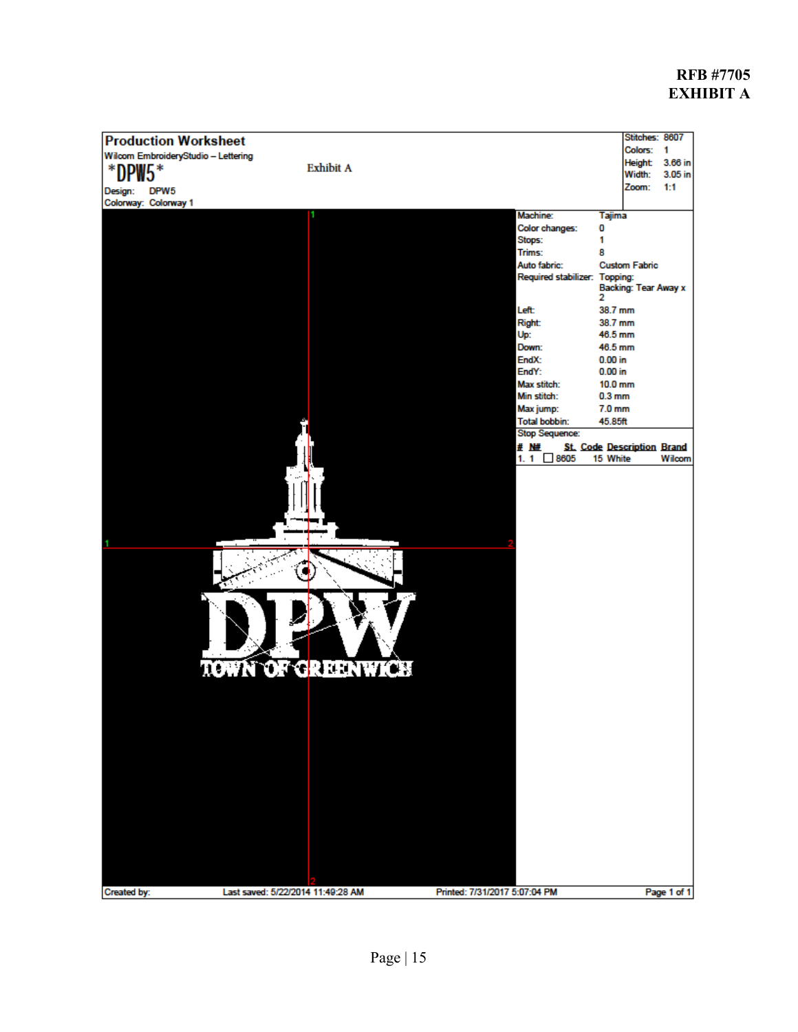# **RFB #7705 EXHIBIT A**

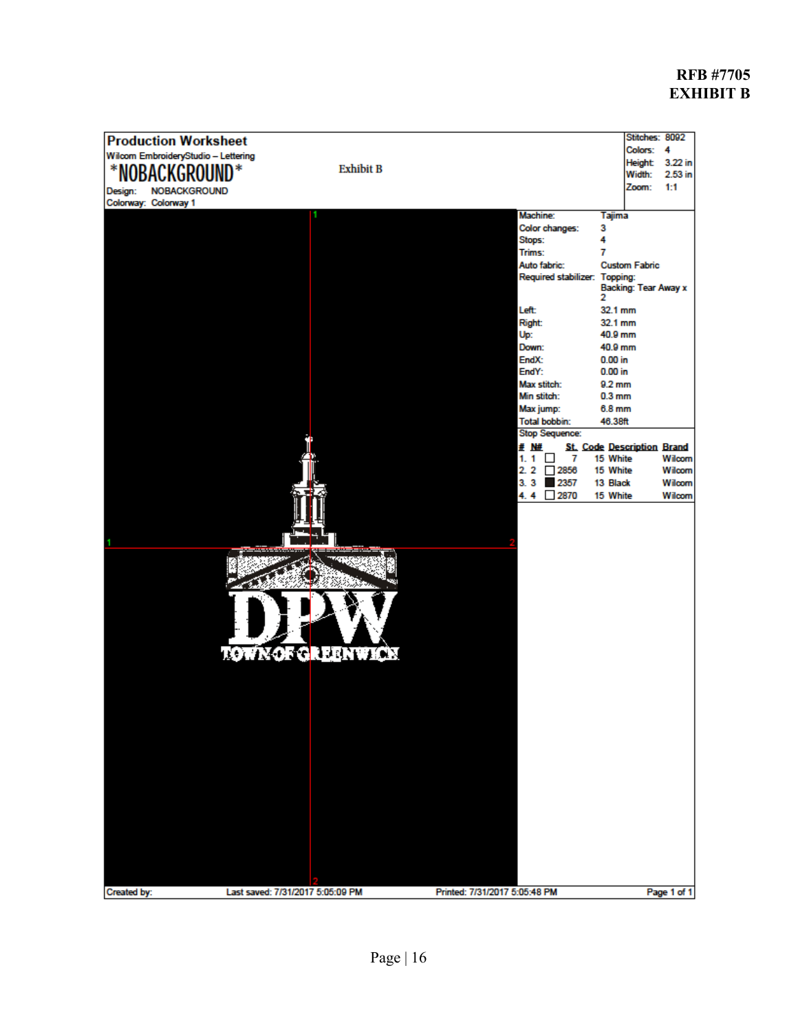# **RFB #7705 EXHIBIT B**